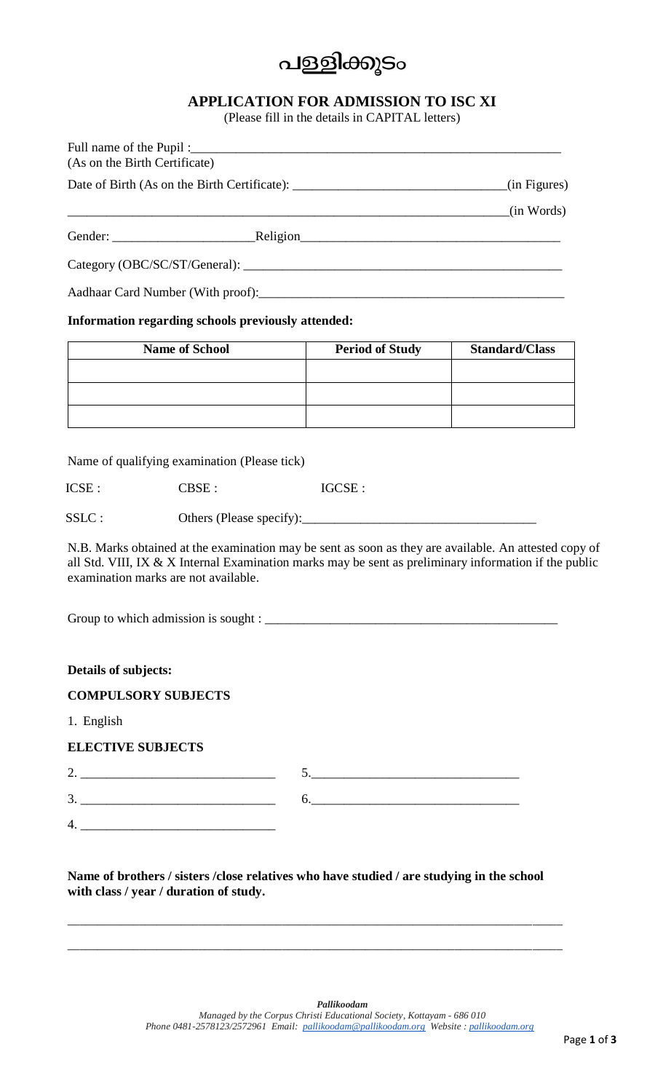# പള്ളിക്കുടം

### **APPLICATION FOR ADMISSION TO ISC XI**

(Please fill in the details in CAPITAL letters)

| (As on the Birth Certificate) | Full name of the Pupil:       |              |
|-------------------------------|-------------------------------|--------------|
|                               |                               | (in Figures) |
|                               |                               | (in Words)   |
|                               |                               |              |
|                               | Category (OBC/SC/ST/General): |              |
|                               |                               |              |

#### **Information regarding schools previously attended:**

| <b>Name of School</b> | <b>Period of Study</b> | <b>Standard/Class</b> |
|-----------------------|------------------------|-----------------------|
|                       |                        |                       |
|                       |                        |                       |
|                       |                        |                       |

Name of qualifying examination (Please tick)

ICSE : CBSE : IGCSE :

SSLC : Others (Please specify):\_\_\_\_\_\_\_\_\_\_\_\_\_\_\_\_\_\_\_\_\_\_\_\_\_\_\_\_\_\_\_\_\_\_\_\_

N.B. Marks obtained at the examination may be sent as soon as they are available. An attested copy of all Std. VIII, IX & X Internal Examination marks may be sent as preliminary information if the public examination marks are not available.

Group to which admission is sought :

#### **Details of subjects:**

#### **COMPULSORY SUBJECTS**

1. English

#### **ELECTIVE SUBJECTS**

2. \_\_\_\_\_\_\_\_\_\_\_\_\_\_\_\_\_\_\_\_\_\_\_\_\_\_\_\_\_\_ 5.\_\_\_\_\_\_\_\_\_\_\_\_\_\_\_\_\_\_\_\_\_\_\_\_\_\_\_\_\_\_\_\_ 3. \_\_\_\_\_\_\_\_\_\_\_\_\_\_\_\_\_\_\_\_\_\_\_\_\_\_\_\_\_\_ 6.\_\_\_\_\_\_\_\_\_\_\_\_\_\_\_\_\_\_\_\_\_\_\_\_\_\_\_\_\_\_\_\_

4. \_\_\_\_\_\_\_\_\_\_\_\_\_\_\_\_\_\_\_\_\_\_\_\_\_\_\_\_\_\_

**Name of brothers / sisters /close relatives who have studied / are studying in the school with class / year / duration of study.**

\_\_\_\_\_\_\_\_\_\_\_\_\_\_\_\_\_\_\_\_\_\_\_\_\_\_\_\_\_\_\_\_\_\_\_\_\_\_\_\_\_\_\_\_\_\_\_\_\_\_\_\_\_\_\_\_\_\_\_\_\_\_\_\_\_\_\_\_\_\_\_\_\_\_\_\_\_\_\_\_\_\_\_

\_\_\_\_\_\_\_\_\_\_\_\_\_\_\_\_\_\_\_\_\_\_\_\_\_\_\_\_\_\_\_\_\_\_\_\_\_\_\_\_\_\_\_\_\_\_\_\_\_\_\_\_\_\_\_\_\_\_\_\_\_\_\_\_\_\_\_\_\_\_\_\_\_\_\_\_\_\_\_\_\_\_\_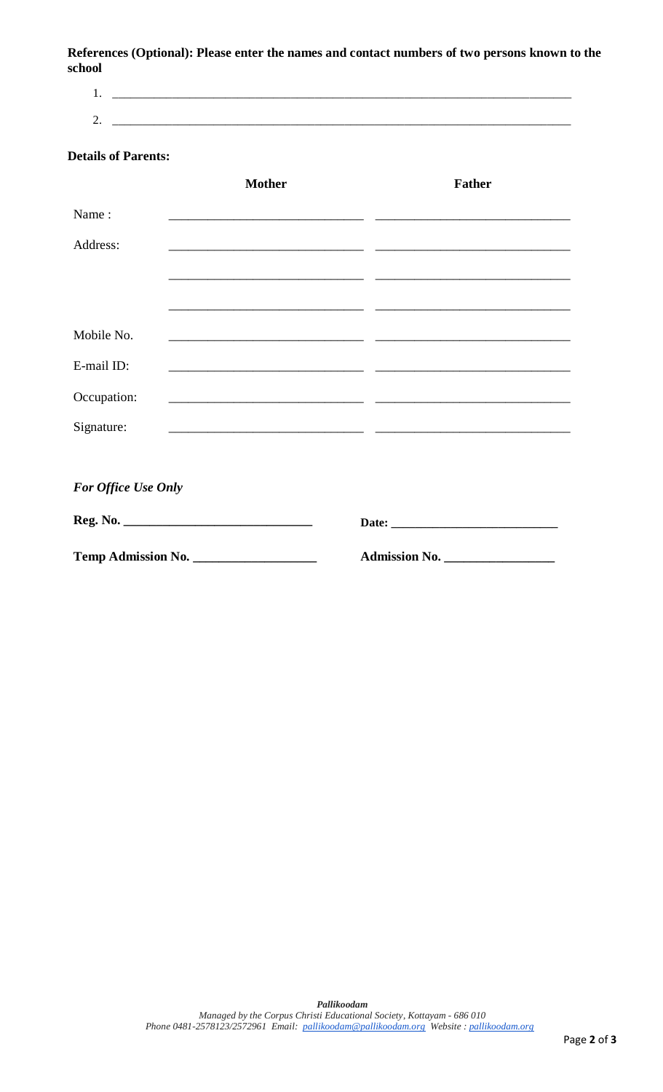**References (Optional): Please enter the names and contact numbers of two persons known to the school**

1. \_\_\_\_\_\_\_\_\_\_\_\_\_\_\_\_\_\_\_\_\_\_\_\_\_\_\_\_\_\_\_\_\_\_\_\_\_\_\_\_\_\_\_\_\_\_\_\_\_\_\_\_\_\_\_\_\_\_\_\_\_\_\_\_\_\_\_\_\_\_\_\_\_\_\_\_\_ 2. \_\_\_\_\_\_\_\_\_\_\_\_\_\_\_\_\_\_\_\_\_\_\_\_\_\_\_\_\_\_\_\_\_\_\_\_\_\_\_\_\_\_\_\_\_\_\_\_\_\_\_\_\_\_\_\_\_\_\_\_\_\_\_\_\_\_\_\_\_\_\_\_\_\_\_\_\_

#### **Details of Parents:**

|                            | <b>Mother</b>                                | <b>Father</b> |
|----------------------------|----------------------------------------------|---------------|
| Name:                      |                                              |               |
| Address:                   |                                              |               |
|                            |                                              |               |
|                            |                                              |               |
| Mobile No.                 |                                              |               |
| E-mail ID:                 |                                              |               |
| Occupation:                |                                              |               |
| Signature:                 | <u> 2000 - Andrea Andrew Maria (b. 2000)</u> |               |
|                            |                                              |               |
| <b>For Office Use Only</b> |                                              |               |
|                            |                                              |               |
|                            | Temp Admission No.                           | Admission No. |